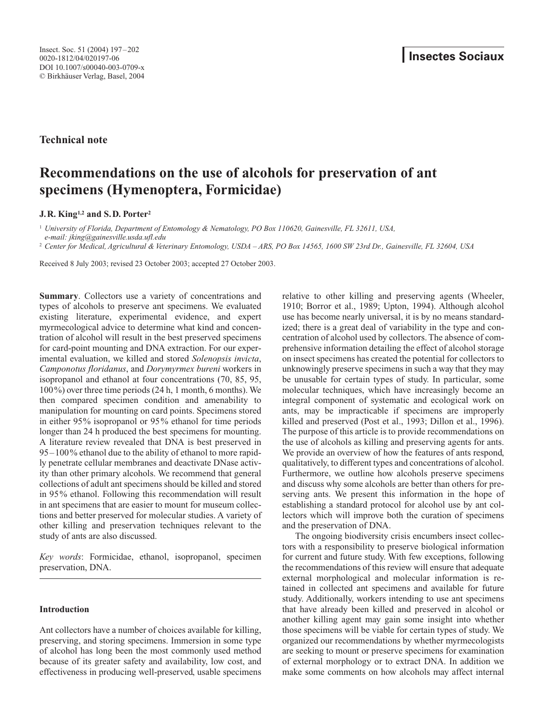**Technical note**

# **Recommendations on the use of alcohols for preservation of ant specimens (Hymenoptera, Formicidae)**

**J.R. King1,2 and S.D. Porter2**

<sup>1</sup> *University of Florida, Department of Entomology & Nematology, PO Box 110620, Gainesville, FL 32611, USA,* 

*e-mail: jking@gainesville.usda.ufl.edu* <sup>2</sup> *Center for Medical, Agricultural & Veterinary Entomology, USDA – ARS, PO Box 14565, 1600 SW 23rd Dr., Gainesville, FL 32604, USA*

Received 8 July 2003; revised 23 October 2003; accepted 27 October 2003.

**Summary**. Collectors use a variety of concentrations and types of alcohols to preserve ant specimens. We evaluated existing literature, experimental evidence, and expert myrmecological advice to determine what kind and concentration of alcohol will result in the best preserved specimens for card-point mounting and DNA extraction. For our experimental evaluation, we killed and stored *Solenopsis invicta*, *Camponotus floridanus*, and *Dorymyrmex bureni* workers in isopropanol and ethanol at four concentrations (70, 85, 95, 100%) over three time periods (24 h, 1 month, 6 months). We then compared specimen condition and amenability to manipulation for mounting on card points. Specimens stored in either 95% isopropanol or 95% ethanol for time periods longer than 24 h produced the best specimens for mounting. A literature review revealed that DNA is best preserved in 95–100% ethanol due to the ability of ethanol to more rapidly penetrate cellular membranes and deactivate DNase activity than other primary alcohols. We recommend that general collections of adult ant specimens should be killed and stored in 95% ethanol. Following this recommendation will result in ant specimens that are easier to mount for museum collections and better preserved for molecular studies. A variety of other killing and preservation techniques relevant to the study of ants are also discussed.

*Key words*: Formicidae, ethanol, isopropanol, specimen preservation, DNA.

# **Introduction**

Ant collectors have a number of choices available for killing, preserving, and storing specimens. Immersion in some type of alcohol has long been the most commonly used method because of its greater safety and availability, low cost, and effectiveness in producing well-preserved, usable specimens relative to other killing and preserving agents (Wheeler, 1910; Borror et al., 1989; Upton, 1994). Although alcohol use has become nearly universal, it is by no means standardized; there is a great deal of variability in the type and concentration of alcohol used by collectors. The absence of comprehensive information detailing the effect of alcohol storage on insect specimens has created the potential for collectors to unknowingly preserve specimens in such a way that they may be unusable for certain types of study. In particular, some molecular techniques, which have increasingly become an integral component of systematic and ecological work on ants, may be impracticable if specimens are improperly killed and preserved (Post et al., 1993; Dillon et al., 1996). The purpose of this article is to provide recommendations on the use of alcohols as killing and preserving agents for ants. We provide an overview of how the features of ants respond, qualitatively, to different types and concentrations of alcohol. Furthermore, we outline how alcohols preserve specimens and discuss why some alcohols are better than others for preserving ants. We present this information in the hope of establishing a standard protocol for alcohol use by ant collectors which will improve both the curation of specimens and the preservation of DNA.

The ongoing biodiversity crisis encumbers insect collectors with a responsibility to preserve biological information for current and future study. With few exceptions, following the recommendations of this review will ensure that adequate external morphological and molecular information is retained in collected ant specimens and available for future study. Additionally, workers intending to use ant specimens that have already been killed and preserved in alcohol or another killing agent may gain some insight into whether those specimens will be viable for certain types of study. We organized our recommendations by whether myrmecologists are seeking to mount or preserve specimens for examination of external morphology or to extract DNA. In addition we make some comments on how alcohols may affect internal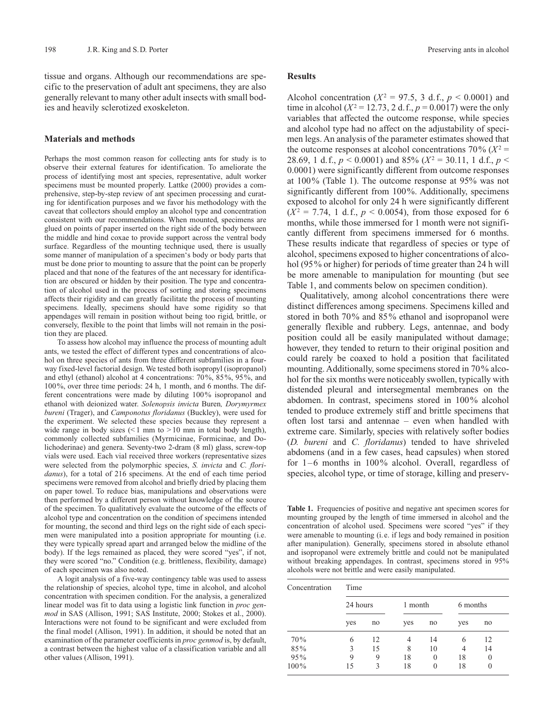tissue and organs. Although our recommendations are specific to the preservation of adult ant specimens, they are also generally relevant to many other adult insects with small bodies and heavily sclerotized exoskeleton.

## **Materials and methods**

Perhaps the most common reason for collecting ants for study is to observe their external features for identification. To ameliorate the process of identifying most ant species, representative, adult worker specimens must be mounted properly. Lattke (2000) provides a comprehensive, step-by-step review of ant specimen processing and curating for identification purposes and we favor his methodology with the caveat that collectors should employ an alcohol type and concentration consistent with our recommendations. When mounted, specimens are glued on points of paper inserted on the right side of the body between the middle and hind coxae to provide support across the ventral body surface. Regardless of the mounting technique used, there is usually some manner of manipulation of a specimen's body or body parts that must be done prior to mounting to assure that the point can be properly placed and that none of the features of the ant necessary for identification are obscured or hidden by their position. The type and concentration of alcohol used in the process of sorting and storing specimens affects their rigidity and can greatly facilitate the process of mounting specimens. Ideally, specimens should have some rigidity so that appendages will remain in position without being too rigid, brittle, or conversely, flexible to the point that limbs will not remain in the position they are placed.

To assess how alcohol may influence the process of mounting adult ants, we tested the effect of different types and concentrations of alcohol on three species of ants from three different subfamilies in a fourway fixed-level factorial design. We tested both isopropyl (isopropanol) and ethyl (ethanol) alcohol at 4 concentrations: 70%, 85%, 95%, and 100%, over three time periods: 24 h, 1 month, and 6 months. The different concentrations were made by diluting 100% isopropanol and ethanol with deionized water. *Solenopsis invicta* Buren*, Dorymyrmex bureni* (Trager), and *Camponotus floridanus* (Buckley), were used for the experiment. We selected these species because they represent a wide range in body sizes  $($  1 mm to  $>$  10 mm in total body length), commonly collected subfamilies (Myrmicinae, Formicinae, and Dolichoderinae) and genera. Seventy-two 2-dram (8 ml) glass, screw-top vials were used. Each vial received three workers (representative sizes were selected from the polymorphic species, *S. invicta* and *C. floridanus*), for a total of 216 specimens. At the end of each time period specimens were removed from alcohol and briefly dried by placing them on paper towel. To reduce bias, manipulations and observations were then performed by a different person without knowledge of the source of the specimen. To qualitatively evaluate the outcome of the effects of alcohol type and concentration on the condition of specimens intended for mounting, the second and third legs on the right side of each specimen were manipulated into a position appropriate for mounting (i.e. they were typically spread apart and arranged below the midline of the body). If the legs remained as placed, they were scored "yes", if not, they were scored "no." Condition (e.g. brittleness, flexibility, damage) of each specimen was also noted.

A logit analysis of a five-way contingency table was used to assess the relationship of species, alcohol type, time in alcohol, and alcohol concentration with specimen condition. For the analysis, a generalized linear model was fit to data using a logistic link function in *proc genmod* in SAS (Allison, 1991; SAS Institute, 2000; Stokes et al., 2000). Interactions were not found to be significant and were excluded from the final model (Allison, 1991). In addition, it should be noted that an examination of the parameter coefficients in *proc genmod* is, by default, a contrast between the highest value of a classification variable and all other values (Allison, 1991).

### **Results**

Alcohol concentration ( $X^2 = 97.5$ , 3 d.f.,  $p < 0.0001$ ) and time in alcohol ( $X^2 = 12.73$ , 2 d.f.,  $p = 0.0017$ ) were the only variables that affected the outcome response, while species and alcohol type had no affect on the adjustability of specimen legs. An analysis of the parameter estimates showed that the outcome responses at alcohol concentrations  $70\%$  ( $X^2$  = 28.69, 1 d.f.,  $p < 0.0001$ ) and 85% ( $X^2 = 30.11$ , 1 d.f.,  $p <$ 0.0001) were significantly different from outcome responses at 100% (Table 1). The outcome response at 95% was not significantly different from 100%. Additionally, specimens exposed to alcohol for only 24 h were significantly different  $(X^2 = 7.74, 1 \text{ d.f., } p < 0.0054)$ , from those exposed for 6 months, while those immersed for 1 month were not significantly different from specimens immersed for 6 months. These results indicate that regardless of species or type of alcohol, specimens exposed to higher concentrations of alcohol (95% or higher) for periods of time greater than 24 h will be more amenable to manipulation for mounting (but see Table 1, and comments below on specimen condition).

Qualitatively, among alcohol concentrations there were distinct differences among specimens. Specimens killed and stored in both 70% and 85% ethanol and isopropanol were generally flexible and rubbery. Legs, antennae, and body position could all be easily manipulated without damage; however, they tended to return to their original position and could rarely be coaxed to hold a position that facilitated mounting. Additionally, some specimens stored in 70% alcohol for the six months were noticeably swollen, typically with distended pleural and intersegmental membranes on the abdomen. In contrast, specimens stored in 100% alcohol tended to produce extremely stiff and brittle specimens that often lost tarsi and antennae – even when handled with extreme care. Similarly, species with relatively softer bodies (*D. bureni* and *C. floridanus*) tended to have shriveled abdomens (and in a few cases, head capsules) when stored for 1–6 months in 100% alcohol. Overall, regardless of species, alcohol type, or time of storage, killing and preserv-

Table 1. Frequencies of positive and negative ant specimen scores for mounting grouped by the length of time immersed in alcohol and the concentration of alcohol used. Specimens were scored "yes" if they were amenable to mounting (i.e. if legs and body remained in position after manipulation). Generally, specimens stored in absolute ethanol and isopropanol were extremely brittle and could not be manipulated without breaking appendages. In contrast, specimens stored in 95% alcohols were not brittle and were easily manipulated.

| Concentration | Time     |    |         |          |          |          |
|---------------|----------|----|---------|----------|----------|----------|
|               | 24 hours |    | 1 month |          | 6 months |          |
|               | yes      | no | yes     | no       | yes      | no       |
| 70%           | 6        | 12 | 4       | 14       | 6        | 12       |
| 85%           | 3        | 15 | 8       | 10       | 4        | 14       |
| 95%           | 9        | 9  | 18      | $\theta$ | 18       | $\theta$ |
| 100%          | 15       | 3  | 18      | 0        | 18       | $\theta$ |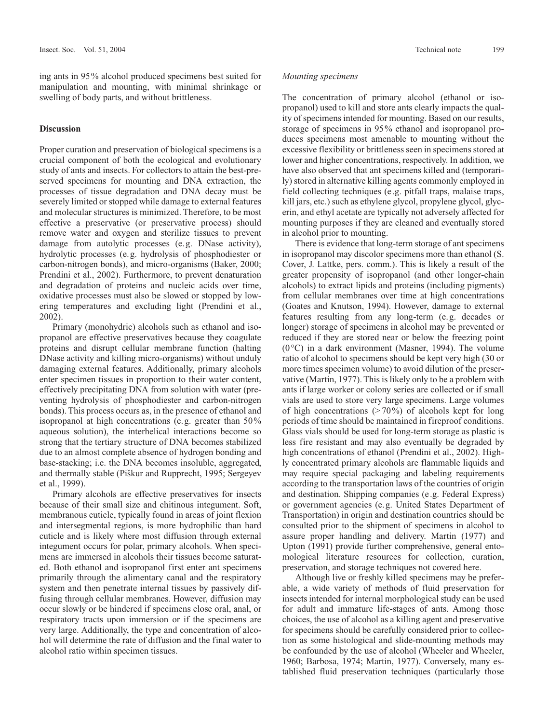ing ants in 95% alcohol produced specimens best suited for manipulation and mounting, with minimal shrinkage or swelling of body parts, and without brittleness.

# **Discussion**

Proper curation and preservation of biological specimens is a crucial component of both the ecological and evolutionary study of ants and insects. For collectors to attain the best-preserved specimens for mounting and DNA extraction, the processes of tissue degradation and DNA decay must be severely limited or stopped while damage to external features and molecular structures is minimized. Therefore, to be most effective a preservative (or preservative process) should remove water and oxygen and sterilize tissues to prevent damage from autolytic processes (e.g. DNase activity), hydrolytic processes (e.g. hydrolysis of phosphodiester or carbon-nitrogen bonds), and micro-organisms (Baker, 2000; Prendini et al., 2002). Furthermore, to prevent denaturation and degradation of proteins and nucleic acids over time, oxidative processes must also be slowed or stopped by lowering temperatures and excluding light (Prendini et al., 2002).

Primary (monohydric) alcohols such as ethanol and isopropanol are effective preservatives because they coagulate proteins and disrupt cellular membrane function (halting DNase activity and killing micro-organisms) without unduly damaging external features. Additionally, primary alcohols enter specimen tissues in proportion to their water content, effectively precipitating DNA from solution with water (preventing hydrolysis of phosphodiester and carbon-nitrogen bonds). This process occurs as, in the presence of ethanol and isopropanol at high concentrations (e.g. greater than 50% aqueous solution), the interhelical interactions become so strong that the tertiary structure of DNA becomes stabilized due to an almost complete absence of hydrogen bonding and base-stacking; i.e. the DNA becomes insoluble, aggregated, and thermally stable (Piškur and Rupprecht, 1995; Sergeyev et al., 1999).

Primary alcohols are effective preservatives for insects because of their small size and chitinous integument. Soft, membranous cuticle, typically found in areas of joint flexion and intersegmental regions, is more hydrophilic than hard cuticle and is likely where most diffusion through external integument occurs for polar, primary alcohols. When specimens are immersed in alcohols their tissues become saturated. Both ethanol and isopropanol first enter ant specimens primarily through the alimentary canal and the respiratory system and then penetrate internal tissues by passively diffusing through cellular membranes. However, diffusion may occur slowly or be hindered if specimens close oral, anal, or respiratory tracts upon immersion or if the specimens are very large. Additionally, the type and concentration of alcohol will determine the rate of diffusion and the final water to alcohol ratio within specimen tissues.

## *Mounting specimens*

The concentration of primary alcohol (ethanol or isopropanol) used to kill and store ants clearly impacts the quality of specimens intended for mounting. Based on our results, storage of specimens in 95% ethanol and isopropanol produces specimens most amenable to mounting without the excessive flexibility or brittleness seen in specimens stored at lower and higher concentrations, respectively. In addition, we have also observed that ant specimens killed and (temporarily) stored in alternative killing agents commonly employed in field collecting techniques (e.g. pitfall traps, malaise traps, kill jars, etc.) such as ethylene glycol, propylene glycol, glycerin, and ethyl acetate are typically not adversely affected for mounting purposes if they are cleaned and eventually stored in alcohol prior to mounting.

There is evidence that long-term storage of ant specimens in isopropanol may discolor specimens more than ethanol (S. Cover, J. Lattke, pers. comm.). This is likely a result of the greater propensity of isopropanol (and other longer-chain alcohols) to extract lipids and proteins (including pigments) from cellular membranes over time at high concentrations (Goates and Knutson, 1994). However, damage to external features resulting from any long-term (e.g. decades or longer) storage of specimens in alcohol may be prevented or reduced if they are stored near or below the freezing point (0°C) in a dark environment (Masner, 1994). The volume ratio of alcohol to specimens should be kept very high (30 or more times specimen volume) to avoid dilution of the preservative (Martin, 1977). This is likely only to be a problem with ants if large worker or colony series are collected or if small vials are used to store very large specimens. Large volumes of high concentrations  $(270\%)$  of alcohols kept for long periods of time should be maintained in fireproof conditions. Glass vials should be used for long-term storage as plastic is less fire resistant and may also eventually be degraded by high concentrations of ethanol (Prendini et al., 2002). Highly concentrated primary alcohols are flammable liquids and may require special packaging and labeling requirements according to the transportation laws of the countries of origin and destination. Shipping companies (e.g. Federal Express) or government agencies (e.g. United States Department of Transportation) in origin and destination countries should be consulted prior to the shipment of specimens in alcohol to assure proper handling and delivery. Martin (1977) and Upton (1991) provide further comprehensive, general entomological literature resources for collection, curation, preservation, and storage techniques not covered here.

Although live or freshly killed specimens may be preferable, a wide variety of methods of fluid preservation for insects intended for internal morphological study can be used for adult and immature life-stages of ants. Among those choices, the use of alcohol as a killing agent and preservative for specimens should be carefully considered prior to collection as some histological and slide-mounting methods may be confounded by the use of alcohol (Wheeler and Wheeler, 1960; Barbosa, 1974; Martin, 1977). Conversely, many established fluid preservation techniques (particularly those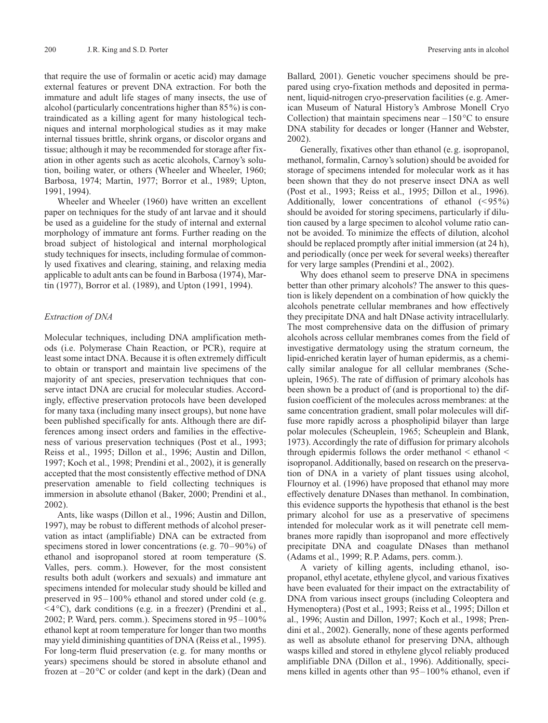that require the use of formalin or acetic acid) may damage external features or prevent DNA extraction. For both the immature and adult life stages of many insects, the use of alcohol (particularly concentrations higher than 85%) is contraindicated as a killing agent for many histological techniques and internal morphological studies as it may make internal tissues brittle, shrink organs, or discolor organs and tissue; although it may be recommended for storage after fixation in other agents such as acetic alcohols, Carnoy's solution, boiling water, or others (Wheeler and Wheeler, 1960; Barbosa, 1974; Martin, 1977; Borror et al., 1989; Upton, 1991, 1994).

Wheeler and Wheeler (1960) have written an excellent paper on techniques for the study of ant larvae and it should be used as a guideline for the study of internal and external morphology of immature ant forms. Further reading on the broad subject of histological and internal morphological study techniques for insects, including formulae of commonly used fixatives and clearing, staining, and relaxing media applicable to adult ants can be found in Barbosa (1974), Martin (1977), Borror et al. (1989), and Upton (1991, 1994).

## *Extraction of DNA*

Molecular techniques, including DNA amplification methods (i.e. Polymerase Chain Reaction, or PCR), require at least some intact DNA. Because it is often extremely difficult to obtain or transport and maintain live specimens of the majority of ant species, preservation techniques that conserve intact DNA are crucial for molecular studies. Accordingly, effective preservation protocols have been developed for many taxa (including many insect groups), but none have been published specifically for ants. Although there are differences among insect orders and families in the effectiveness of various preservation techniques (Post et al., 1993; Reiss et al., 1995; Dillon et al., 1996; Austin and Dillon, 1997; Koch et al., 1998; Prendini et al., 2002), it is generally accepted that the most consistently effective method of DNA preservation amenable to field collecting techniques is immersion in absolute ethanol (Baker, 2000; Prendini et al., 2002).

Ants, like wasps (Dillon et al., 1996; Austin and Dillon, 1997), may be robust to different methods of alcohol preservation as intact (amplifiable) DNA can be extracted from specimens stored in lower concentrations (e.g. 70–90%) of ethanol and isopropanol stored at room temperature (S. Valles, pers. comm.). However, for the most consistent results both adult (workers and sexuals) and immature ant specimens intended for molecular study should be killed and preserved in 95–100% ethanol and stored under cold (e.g.  $\leq$ 4 $\degree$ C), dark conditions (e.g. in a freezer) (Prendini et al., 2002; P. Ward, pers. comm.). Specimens stored in 95–100% ethanol kept at room temperature for longer than two months may yield diminishing quantities of DNA (Reiss et al., 1995). For long-term fluid preservation (e.g. for many months or years) specimens should be stored in absolute ethanol and frozen at  $-20^{\circ}$ C or colder (and kept in the dark) (Dean and Ballard, 2001). Genetic voucher specimens should be prepared using cryo-fixation methods and deposited in permanent, liquid-nitrogen cryo-preservation facilities (e.g. American Museum of Natural History's Ambrose Monell Cryo Collection) that maintain specimens near  $-150^{\circ}$ C to ensure DNA stability for decades or longer (Hanner and Webster, 2002).

Generally, fixatives other than ethanol (e.g. isopropanol, methanol, formalin, Carnoy's solution) should be avoided for storage of specimens intended for molecular work as it has been shown that they do not preserve insect DNA as well (Post et al., 1993; Reiss et al., 1995; Dillon et al., 1996). Additionally, lower concentrations of ethanol (< 95%) should be avoided for storing specimens, particularly if dilution caused by a large specimen to alcohol volume ratio cannot be avoided. To minimize the effects of dilution, alcohol should be replaced promptly after initial immersion (at 24 h), and periodically (once per week for several weeks) thereafter for very large samples (Prendini et al., 2002).

Why does ethanol seem to preserve DNA in specimens better than other primary alcohols? The answer to this question is likely dependent on a combination of how quickly the alcohols penetrate cellular membranes and how effectively they precipitate DNA and halt DNase activity intracellularly. The most comprehensive data on the diffusion of primary alcohols across cellular membranes comes from the field of investigative dermatology using the stratum corneum, the lipid-enriched keratin layer of human epidermis, as a chemically similar analogue for all cellular membranes (Scheuplein, 1965). The rate of diffusion of primary alcohols has been shown be a product of (and is proportional to) the diffusion coefficient of the molecules across membranes: at the same concentration gradient, small polar molecules will diffuse more rapidly across a phospholipid bilayer than large polar molecules (Scheuplein, 1965; Scheuplein and Blank, 1973). Accordingly the rate of diffusion for primary alcohols through epidermis follows the order methanol < ethanol < isopropanol. Additionally, based on research on the preservation of DNA in a variety of plant tissues using alcohol, Flournoy et al. (1996) have proposed that ethanol may more effectively denature DNases than methanol. In combination, this evidence supports the hypothesis that ethanol is the best primary alcohol for use as a preservative of specimens intended for molecular work as it will penetrate cell membranes more rapidly than isopropanol and more effectively precipitate DNA and coagulate DNases than methanol (Adams et al., 1999; R.P. Adams, pers. comm.).

A variety of killing agents, including ethanol, isopropanol, ethyl acetate, ethylene glycol, and various fixatives have been evaluated for their impact on the extractability of DNA from various insect groups (including Coleoptera and Hymenoptera) (Post et al., 1993; Reiss et al., 1995; Dillon et al., 1996; Austin and Dillon, 1997; Koch et al., 1998; Prendini et al., 2002). Generally, none of these agents performed as well as absolute ethanol for preserving DNA, although wasps killed and stored in ethylene glycol reliably produced amplifiable DNA (Dillon et al., 1996). Additionally, specimens killed in agents other than 95–100% ethanol, even if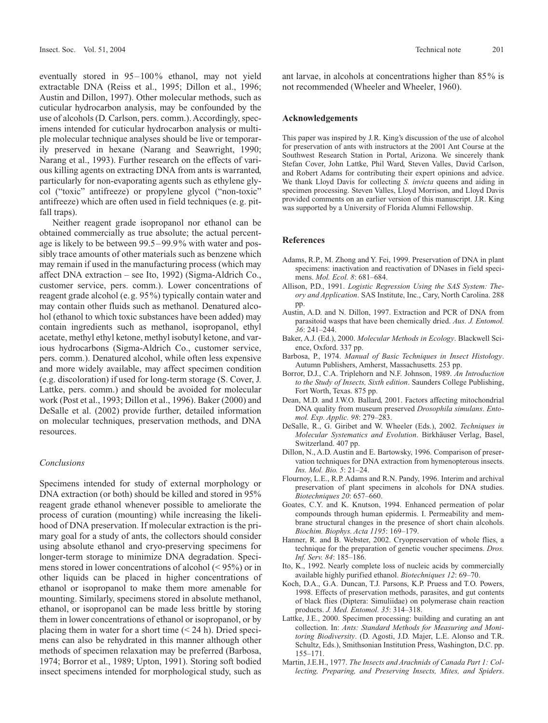eventually stored in 95–100% ethanol, may not yield extractable DNA (Reiss et al., 1995; Dillon et al., 1996; Austin and Dillon, 1997). Other molecular methods, such as cuticular hydrocarbon analysis, may be confounded by the use of alcohols (D. Carlson, pers. comm.). Accordingly, specimens intended for cuticular hydrocarbon analysis or multiple molecular technique analyses should be live or temporarily preserved in hexane (Narang and Seawright, 1990; Narang et al., 1993). Further research on the effects of various killing agents on extracting DNA from ants is warranted, particularly for non-evaporating agents such as ethylene glycol ("toxic" antifreeze) or propylene glycol ("non-toxic" antifreeze) which are often used in field techniques (e.g. pitfall traps).

Neither reagent grade isopropanol nor ethanol can be obtained commercially as true absolute; the actual percentage is likely to be between 99.5–99.9% with water and possibly trace amounts of other materials such as benzene which may remain if used in the manufacturing process (which may affect DNA extraction – see Ito, 1992) (Sigma-Aldrich Co., customer service, pers. comm.). Lower concentrations of reagent grade alcohol (e.g. 95%) typically contain water and may contain other fluids such as methanol. Denatured alcohol (ethanol to which toxic substances have been added) may contain ingredients such as methanol, isopropanol, ethyl acetate, methyl ethyl ketone, methyl isobutyl ketone, and various hydrocarbons (Sigma-Aldrich Co., customer service, pers. comm.). Denatured alcohol, while often less expensive and more widely available, may affect specimen condition (e.g. discoloration) if used for long-term storage (S. Cover, J. Lattke, pers. comm.) and should be avoided for molecular work (Post et al., 1993; Dillon et al., 1996). Baker (2000) and DeSalle et al. (2002) provide further, detailed information on molecular techniques, preservation methods, and DNA resources.

## *Conclusions*

Specimens intended for study of external morphology or DNA extraction (or both) should be killed and stored in 95% reagent grade ethanol whenever possible to ameliorate the process of curation (mounting) while increasing the likelihood of DNA preservation. If molecular extraction is the primary goal for a study of ants, the collectors should consider using absolute ethanol and cryo-preserving specimens for longer-term storage to minimize DNA degradation. Specimens stored in lower concentrations of alcohol (< 95%) or in other liquids can be placed in higher concentrations of ethanol or isopropanol to make them more amenable for mounting. Similarly, specimens stored in absolute methanol, ethanol, or isopropanol can be made less brittle by storing them in lower concentrations of ethanol or isopropanol, or by placing them in water for a short time  $(< 24$  h). Dried specimens can also be rehydrated in this manner although other methods of specimen relaxation may be preferred (Barbosa, 1974; Borror et al., 1989; Upton, 1991). Storing soft bodied insect specimens intended for morphological study, such as

ant larvae, in alcohols at concentrations higher than 85% is not recommended (Wheeler and Wheeler, 1960).

# **Acknowledgements**

This paper was inspired by J.R. King's discussion of the use of alcohol for preservation of ants with instructors at the 2001 Ant Course at the Southwest Research Station in Portal, Arizona. We sincerely thank Stefan Cover, John Lattke, Phil Ward, Steven Valles, David Carlson, and Robert Adams for contributing their expert opinions and advice. We thank Lloyd Davis for collecting *S. invicta* queens and aiding in specimen processing. Steven Valles, Lloyd Morrison, and Lloyd Davis provided comments on an earlier version of this manuscript. J.R. King was supported by a University of Florida Alumni Fellowship.

## **References**

- Adams, R.P., M. Zhong and Y. Fei, 1999. Preservation of DNA in plant specimens: inactivation and reactivation of DNases in field specimens. *Mol. Ecol. 8*: 681–684.
- Allison, P.D., 1991. *Logistic Regression Using the SAS System: Theory and Application*. SAS Institute, Inc., Cary, North Carolina. 288 pp.
- Austin, A.D. and N. Dillon, 1997. Extraction and PCR of DNA from parasitoid wasps that have been chemically dried. *Aus. J. Entomol. 36*: 241–244.
- Baker, A.J. (Ed.), 2000. *Molecular Methods in Ecology*. Blackwell Science, Oxford. 337 pp.
- Barbosa, P., 1974. *Manual of Basic Techniques in Insect Histology*. Autumn Publishers, Amherst, Massachusetts. 253 pp.
- Borror, D.J., C.A. Triplehorn and N.F. Johnson, 1989. *An Introduction to the Study of Insects, Sixth edition*. Saunders College Publishing, Fort Worth, Texas. 875 pp.
- Dean, M.D. and J.W.O. Ballard, 2001. Factors affecting mitochondrial DNA quality from museum preserved *Drosophila simulans*. *Entomol. Exp. Applic. 98*: 279–283.
- DeSalle, R., G. Giribet and W. Wheeler (Eds.), 2002. *Techniques in Molecular Systematics and Evolution*. Birkhäuser Verlag, Basel, Switzerland. 407 pp.
- Dillon, N., A.D. Austin and E. Bartowsky, 1996. Comparison of preservation techniques for DNA extraction from hymenopterous insects. *Ins. Mol. Bio. 5*: 21–24.
- Flournoy, L.E., R.P. Adams and R.N. Pandy, 1996. Interim and archival preservation of plant specimens in alcohols for DNA studies. *Biotechniques 20*: 657–660.
- Goates, C.Y. and K. Knutson, 1994. Enhanced permeation of polar compounds through human epidermis. I. Permeability and membrane structural changes in the presence of short chain alcohols. *Biochim. Biophys. Acta 1195*: 169–179.
- Hanner, R. and B. Webster, 2002. Cryopreservation of whole flies, a technique for the preparation of genetic voucher specimens. *Dros. Inf. Serv. 84*: 185–186.
- Ito, K., 1992. Nearly complete loss of nucleic acids by commercially available highly purified ethanol. *Biotechniques 12*: 69–70.
- Koch, D.A., G.A. Duncan, T.J. Parsons, K.P. Pruess and T.O. Powers, 1998. Effects of preservation methods, parasites, and gut contents of black flies (Diptera: Simuliidae) on polymerase chain reaction products. *J. Med. Entomol. 35*: 314–318.
- Lattke, J.E., 2000. Specimen processing: building and curating an ant collection. In: *Ants: Standard Methods for Measuring and Monitoring Biodiversity*. (D. Agosti, J.D. Majer, L.E. Alonso and T.R. Schultz, Eds.), Smithsonian Institution Press, Washington, D.C. pp. 155–171.
- Martin, J.E.H., 1977. *The Insects and Arachnids of Canada Part 1: Collecting, Preparing, and Preserving Insects, Mites, and Spiders*.